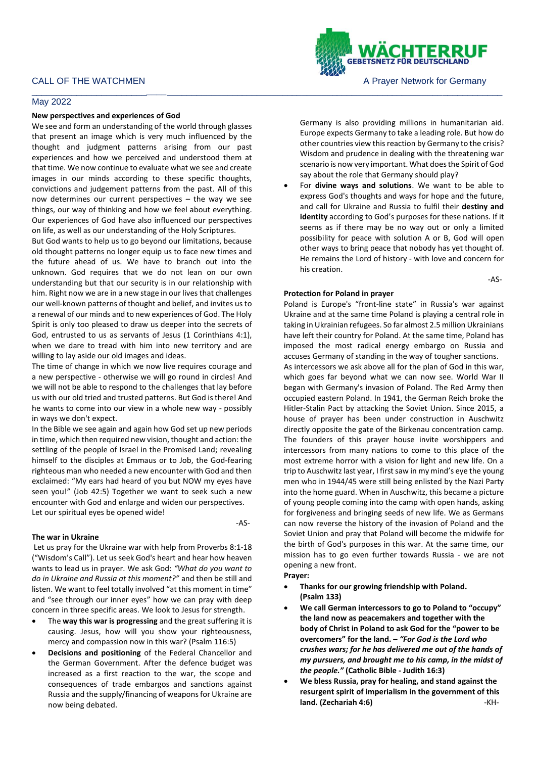# May 2022

### **New perspectives and experiences of God**

We see and form an understanding of the world through glasses that present an image which is very much influenced by the thought and judgment patterns arising from our past experiences and how we perceived and understood them at that time. We now continue to evaluate what we see and create images in our minds according to these specific thoughts, convictions and judgement patterns from the past. All of this now determines our current perspectives – the way we see things, our way of thinking and how we feel about everything. Our experiences of God have also influenced our perspectives on life, as well as our understanding of the Holy Scriptures.

But God wants to help us to go beyond our limitations, because old thought patterns no longer equip us to face new times and the future ahead of us. We have to branch out into the unknown. God requires that we do not lean on our own understanding but that our security is in our relationship with him. Right now we are in a new stage in our lives that challenges our well-known patterns of thought and belief, and invites us to a renewal of our minds and to new experiences of God. The Holy Spirit is only too pleased to draw us deeper into the secrets of God, entrusted to us as servants of Jesus (1 Corinthians 4:1), when we dare to tread with him into new territory and are willing to lay aside our old images and ideas.

The time of change in which we now live requires courage and a new perspective - otherwise we will go round in circles! And we will not be able to respond to the challenges that lay before us with our old tried and trusted patterns. But God is there! And he wants to come into our view in a whole new way - possibly in ways we don't expect.

In the Bible we see again and again how God set up new periods in time, which then required new vision, thought and action: the settling of the people of Israel in the Promised Land; revealing himself to the disciples at Emmaus or to Job, the God-fearing righteous man who needed a new encounter with God and then exclaimed: "My ears had heard of you but NOW my eyes have seen you!" (Job 42:5) Together we want to seek such a new encounter with God and enlarge and widen our perspectives. Let our spiritual eyes be opened wide!

**The war in Ukraine**

Let us pray for the Ukraine war with help from Proverbs 8:1-18 ("Wisdom's Call"). Let us seek God's heart and hear how heaven wants to lead us in prayer. We ask God: *"What do you want to do in Ukraine and Russia at this moment?"* and then be still and listen. We want to feel totally involved "at this moment in time" and "see through our inner eyes" how we can pray with deep concern in three specific areas. We look to Jesus for strength.

- The **way this war is progressing** and the great suffering it is causing. Jesus, how will you show your righteousness, mercy and compassion now in this war? (Psalm 116:5)
- **Decisions and positioning** of the Federal Chancellor and the German Government. After the defence budget was increased as a first reaction to the war, the scope and consequences of trade embargos and sanctions against Russia and the supply/financing of weapons for Ukraine are now being debated.



say about the role that Germany should play? • For **divine ways and solutions**. We want to be able to express God's thoughts and ways for hope and the future, and call for Ukraine and Russia to fulfil their **destiny and identity** according to God's purposes for these nations. If it seems as if there may be no way out or only a limited possibility for peace with solution A or B, God will open other ways to bring peace that nobody has yet thought of. He remains the Lord of history - with love and concern for his creation.

-AS-

# **Protection for Poland in prayer**

Poland is Europe's "front-line state" in Russia's war against Ukraine and at the same time Poland is playing a central role in taking in Ukrainian refugees. So far almost 2.5 million Ukrainians have left their country for Poland. At the same time, Poland has imposed the most radical energy embargo on Russia and accuses Germany of standing in the way of tougher sanctions. As intercessors we ask above all for the plan of God in this war, which goes far beyond what we can now see. World War II began with Germany's invasion of Poland. The Red Army then occupied eastern Poland. In 1941, the German Reich broke the Hitler-Stalin Pact by attacking the Soviet Union. Since 2015, a house of prayer has been under construction in Auschwitz directly opposite the gate of the Birkenau concentration camp. The founders of this prayer house invite worshippers and intercessors from many nations to come to this place of the most extreme horror with a vision for light and new life. On a trip to Auschwitz last year, I first saw in my mind's eye the young men who in 1944/45 were still being enlisted by the Nazi Party into the home guard. When in Auschwitz, this became a picture of young people coming into the camp with open hands, asking for forgiveness and bringing seeds of new life. We as Germans can now reverse the history of the invasion of Poland and the Soviet Union and pray that Poland will become the midwife for the birth of God's purposes in this war. At the same time, our mission has to go even further towards Russia - we are not opening a new front.

# **Prayer:**

-AS-

- **Thanks for our growing friendship with Poland. (Psalm 133)**
- **We call German intercessors to go to Poland to "occupy" the land now as peacemakers and together with the body of Christ in Poland to ask God for the "power to be overcomers" for the land. –** *"For God is the Lord who crushes wars; for he has delivered me out of the hands of my pursuers, and brought me to his camp, in the midst of the people."* **(Catholic Bible - Judith 16:3)**
- **We bless Russia, pray for healing, and stand against the resurgent spirit of imperialism in the government of this land. (Zechariah 4:6)** -KH-